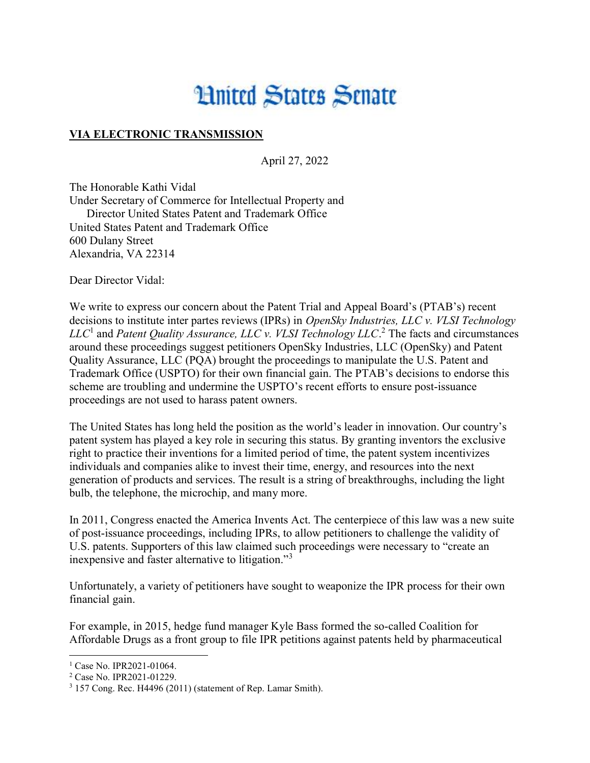## **Limited States Senate**

## VIA ELECTRONIC TRANSMISSION

April 27, 2022

The Honorable Kathi Vidal Under Secretary of Commerce for Intellectual Property and Director United States Patent and Trademark Office United States Patent and Trademark Office 600 Dulany Street Alexandria, VA 22314

Dear Director Vidal:

We write to express our concern about the Patent Trial and Appeal Board's (PTAB's) recent decisions to institute inter partes reviews (IPRs) in *OpenSky Industries, LLC v. VLSI Technology*  $LLC<sup>1</sup>$  and Patent Quality Assurance, LLC v. VLSI Technology LLC.<sup>2</sup> The facts and circumstances around these proceedings suggest petitioners OpenSky Industries, LLC (OpenSky) and Patent Quality Assurance, LLC (PQA) brought the proceedings to manipulate the U.S. Patent and Trademark Office (USPTO) for their own financial gain. The PTAB's decisions to endorse this scheme are troubling and undermine the USPTO's recent efforts to ensure post-issuance proceedings are not used to harass patent owners.

The United States has long held the position as the world's leader in innovation. Our country's patent system has played a key role in securing this status. By granting inventors the exclusive right to practice their inventions for a limited period of time, the patent system incentivizes individuals and companies alike to invest their time, energy, and resources into the next generation of products and services. The result is a string of breakthroughs, including the light bulb, the telephone, the microchip, and many more.

In 2011, Congress enacted the America Invents Act. The centerpiece of this law was a new suite of post-issuance proceedings, including IPRs, to allow petitioners to challenge the validity of U.S. patents. Supporters of this law claimed such proceedings were necessary to "create an inexpensive and faster alternative to litigation."<sup>3</sup>

Unfortunately, a variety of petitioners have sought to weaponize the IPR process for their own financial gain.

For example, in 2015, hedge fund manager Kyle Bass formed the so-called Coalition for Affordable Drugs as a front group to file IPR petitions against patents held by pharmaceutical

<sup>&</sup>lt;sup>1</sup> Case No. IPR2021-01064.

<sup>2</sup> Case No. IPR2021-01229.

<sup>&</sup>lt;sup>3</sup> 157 Cong. Rec. H4496 (2011) (statement of Rep. Lamar Smith).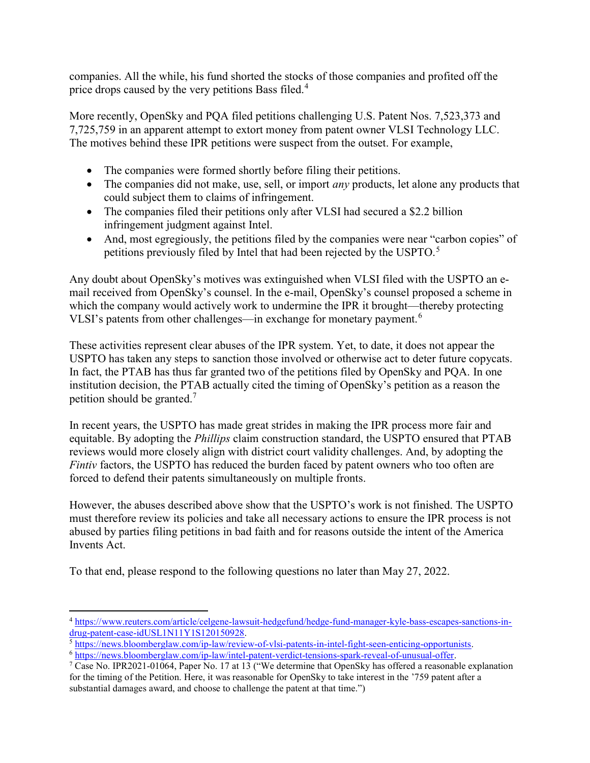companies. All the while, his fund shorted the stocks of those companies and profited off the price drops caused by the very petitions Bass filed.<sup>4</sup>

More recently, OpenSky and PQA filed petitions challenging U.S. Patent Nos. 7,523,373 and 7,725,759 in an apparent attempt to extort money from patent owner VLSI Technology LLC. The motives behind these IPR petitions were suspect from the outset. For example,

- The companies were formed shortly before filing their petitions.
- $\bullet$  The companies did not make, use, sell, or import *any* products, let alone any products that could subject them to claims of infringement.
- The companies filed their petitions only after VLSI had secured a \$2.2 billion infringement judgment against Intel.
- And, most egregiously, the petitions filed by the companies were near "carbon copies" of petitions previously filed by Intel that had been rejected by the USPTO.<sup>5</sup>

Any doubt about OpenSky's motives was extinguished when VLSI filed with the USPTO an email received from OpenSky's counsel. In the e-mail, OpenSky's counsel proposed a scheme in which the company would actively work to undermine the IPR it brought—thereby protecting VLSI's patents from other challenges—in exchange for monetary payment.<sup>6</sup>

These activities represent clear abuses of the IPR system. Yet, to date, it does not appear the USPTO has taken any steps to sanction those involved or otherwise act to deter future copycats. In fact, the PTAB has thus far granted two of the petitions filed by OpenSky and PQA. In one institution decision, the PTAB actually cited the timing of OpenSky's petition as a reason the petition should be granted.<sup>7</sup>

In recent years, the USPTO has made great strides in making the IPR process more fair and equitable. By adopting the Phillips claim construction standard, the USPTO ensured that PTAB reviews would more closely align with district court validity challenges. And, by adopting the Fintiv factors, the USPTO has reduced the burden faced by patent owners who too often are forced to defend their patents simultaneously on multiple fronts.

However, the abuses described above show that the USPTO's work is not finished. The USPTO must therefore review its policies and take all necessary actions to ensure the IPR process is not abused by parties filing petitions in bad faith and for reasons outside the intent of the America Invents Act.

To that end, please respond to the following questions no later than May 27, 2022.

<sup>4</sup> https://www.reuters.com/article/celgene-lawsuit-hedgefund/hedge-fund-manager-kyle-bass-escapes-sanctions-indrug-patent-case-idUSL1N11Y1S120150928.

<sup>5</sup> https://news.bloomberglaw.com/ip-law/review-of-vlsi-patents-in-intel-fight-seen-enticing-opportunists.

<sup>6</sup> https://news.bloomberglaw.com/ip-law/intel-patent-verdict-tensions-spark-reveal-of-unusual-offer.

<sup>7</sup> Case No. IPR2021-01064, Paper No. 17 at 13 ("We determine that OpenSky has offered a reasonable explanation for the timing of the Petition. Here, it was reasonable for OpenSky to take interest in the '759 patent after a substantial damages award, and choose to challenge the patent at that time.")